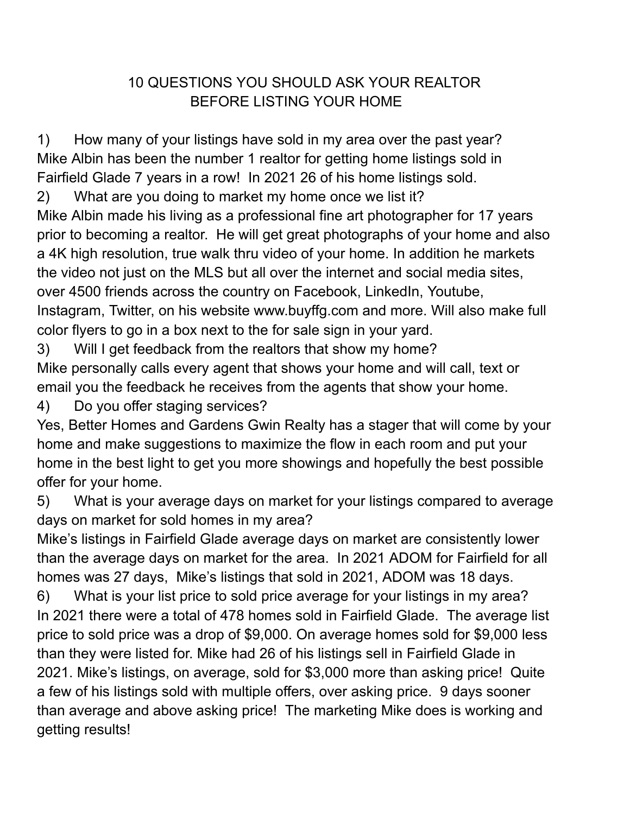## 10 QUESTIONS YOU SHOULD ASK YOUR REALTOR BEFORE LISTING YOUR HOME

1) How many of your listings have sold in my area over the past year? Mike Albin has been the number 1 realtor for getting home listings sold in Fairfield Glade 7 years in a row! In 2021 26 of his home listings sold.

2) What are you doing to market my home once we list it? Mike Albin made his living as a professional fine art photographer for 17 years prior to becoming a realtor. He will get great photographs of your home and also a 4K high resolution, true walk thru video of your home. In addition he markets the video not just on the MLS but all over the internet and social media sites, over 4500 friends across the country on Facebook, LinkedIn, Youtube, Instagram, Twitter, on his website www.buyffg.com and more. Will also make full color flyers to go in a box next to the for sale sign in your yard.

3) Will I get feedback from the realtors that show my home? Mike personally calls every agent that shows your home and will call, text or email you the feedback he receives from the agents that show your home.

4) Do you offer staging services?

Yes, Better Homes and Gardens Gwin Realty has a stager that will come by your home and make suggestions to maximize the flow in each room and put your home in the best light to get you more showings and hopefully the best possible offer for your home.

5) What is your average days on market for your listings compared to average days on market for sold homes in my area?

Mike's listings in Fairfield Glade average days on market are consistently lower than the average days on market for the area. In 2021 ADOM for Fairfield for all homes was 27 days, Mike's listings that sold in 2021, ADOM was 18 days.

6) What is your list price to sold price average for your listings in my area? In 2021 there were a total of 478 homes sold in Fairfield Glade. The average list price to sold price was a drop of \$9,000. On average homes sold for \$9,000 less than they were listed for. Mike had 26 of his listings sell in Fairfield Glade in 2021. Mike's listings, on average, sold for \$3,000 more than asking price! Quite a few of his listings sold with multiple offers, over asking price. 9 days sooner than average and above asking price! The marketing Mike does is working and getting results!